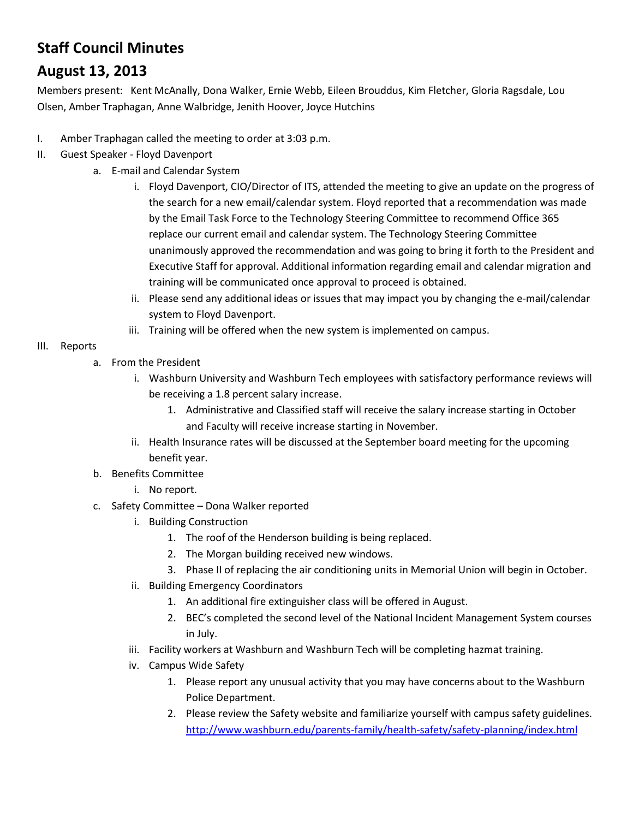## **Staff Council Minutes**

## **August 13, 2013**

Members present: Kent McAnally, Dona Walker, Ernie Webb, Eileen Brouddus, Kim Fletcher, Gloria Ragsdale, Lou Olsen, Amber Traphagan, Anne Walbridge, Jenith Hoover, Joyce Hutchins

- I. Amber Traphagan called the meeting to order at 3:03 p.m.
- II. Guest Speaker Floyd Davenport
	- a. E-mail and Calendar System
		- i. Floyd Davenport, CIO/Director of ITS, attended the meeting to give an update on the progress of the search for a new email/calendar system. Floyd reported that a recommendation was made by the Email Task Force to the Technology Steering Committee to recommend Office 365 replace our current email and calendar system. The Technology Steering Committee unanimously approved the recommendation and was going to bring it forth to the President and Executive Staff for approval. Additional information regarding email and calendar migration and training will be communicated once approval to proceed is obtained.
		- ii. Please send any additional ideas or issues that may impact you by changing the e-mail/calendar system to Floyd Davenport.
		- iii. Training will be offered when the new system is implemented on campus.

## III. Reports

- a. From the President
	- i. Washburn University and Washburn Tech employees with satisfactory performance reviews will be receiving a 1.8 percent salary increase.
		- 1. Administrative and Classified staff will receive the salary increase starting in October and Faculty will receive increase starting in November.
	- ii. Health Insurance rates will be discussed at the September board meeting for the upcoming benefit year.
- b. Benefits Committee
	- i. No report.
- c. Safety Committee Dona Walker reported
	- i. Building Construction
		- 1. The roof of the Henderson building is being replaced.
		- 2. The Morgan building received new windows.
		- 3. Phase II of replacing the air conditioning units in Memorial Union will begin in October.
	- ii. Building Emergency Coordinators
		- 1. An additional fire extinguisher class will be offered in August.
		- 2. BEC's completed the second level of the National Incident Management System courses in July.
	- iii. Facility workers at Washburn and Washburn Tech will be completing hazmat training.
	- iv. Campus Wide Safety
		- 1. Please report any unusual activity that you may have concerns about to the Washburn Police Department.
		- 2. Please review the Safety website and familiarize yourself with campus safety guidelines. <http://www.washburn.edu/parents-family/health-safety/safety-planning/index.html>